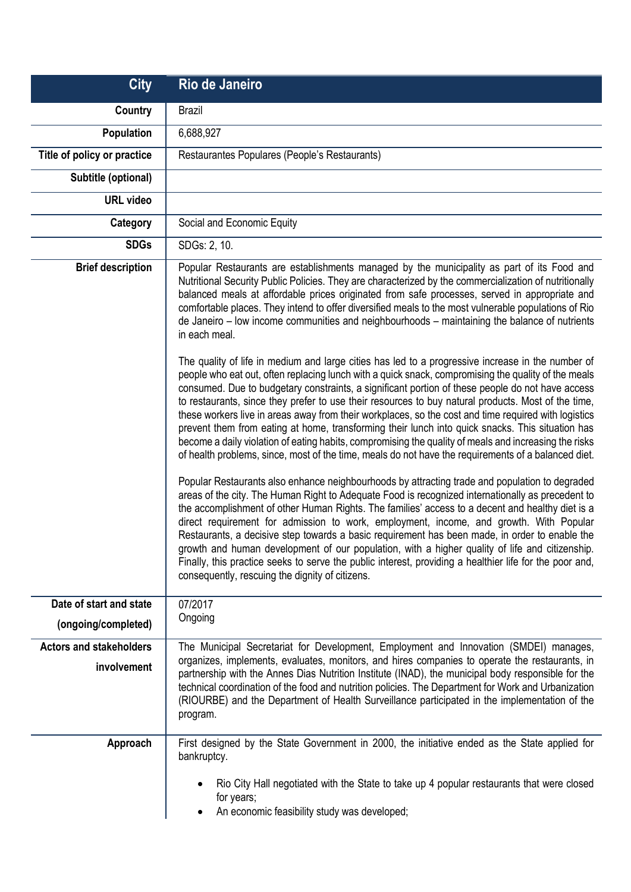| <b>City</b>                                   | Rio de Janeiro                                                                                                                                                                                                                                                                                                                                                                                                                                                                                                                                                                                                                                                                                                                                                                                                                                                                                                                                                                                                                                                                                                                                                                                                                                                                                                                                                                                                                                                                                                                                                                                                                                                                                                                                                                                                                                                                                                                                                                                                                                                                                                                                            |
|-----------------------------------------------|-----------------------------------------------------------------------------------------------------------------------------------------------------------------------------------------------------------------------------------------------------------------------------------------------------------------------------------------------------------------------------------------------------------------------------------------------------------------------------------------------------------------------------------------------------------------------------------------------------------------------------------------------------------------------------------------------------------------------------------------------------------------------------------------------------------------------------------------------------------------------------------------------------------------------------------------------------------------------------------------------------------------------------------------------------------------------------------------------------------------------------------------------------------------------------------------------------------------------------------------------------------------------------------------------------------------------------------------------------------------------------------------------------------------------------------------------------------------------------------------------------------------------------------------------------------------------------------------------------------------------------------------------------------------------------------------------------------------------------------------------------------------------------------------------------------------------------------------------------------------------------------------------------------------------------------------------------------------------------------------------------------------------------------------------------------------------------------------------------------------------------------------------------------|
| Country                                       | <b>Brazil</b>                                                                                                                                                                                                                                                                                                                                                                                                                                                                                                                                                                                                                                                                                                                                                                                                                                                                                                                                                                                                                                                                                                                                                                                                                                                                                                                                                                                                                                                                                                                                                                                                                                                                                                                                                                                                                                                                                                                                                                                                                                                                                                                                             |
| <b>Population</b>                             | 6,688,927                                                                                                                                                                                                                                                                                                                                                                                                                                                                                                                                                                                                                                                                                                                                                                                                                                                                                                                                                                                                                                                                                                                                                                                                                                                                                                                                                                                                                                                                                                                                                                                                                                                                                                                                                                                                                                                                                                                                                                                                                                                                                                                                                 |
| Title of policy or practice                   | Restaurantes Populares (People's Restaurants)                                                                                                                                                                                                                                                                                                                                                                                                                                                                                                                                                                                                                                                                                                                                                                                                                                                                                                                                                                                                                                                                                                                                                                                                                                                                                                                                                                                                                                                                                                                                                                                                                                                                                                                                                                                                                                                                                                                                                                                                                                                                                                             |
| Subtitle (optional)                           |                                                                                                                                                                                                                                                                                                                                                                                                                                                                                                                                                                                                                                                                                                                                                                                                                                                                                                                                                                                                                                                                                                                                                                                                                                                                                                                                                                                                                                                                                                                                                                                                                                                                                                                                                                                                                                                                                                                                                                                                                                                                                                                                                           |
| <b>URL</b> video                              |                                                                                                                                                                                                                                                                                                                                                                                                                                                                                                                                                                                                                                                                                                                                                                                                                                                                                                                                                                                                                                                                                                                                                                                                                                                                                                                                                                                                                                                                                                                                                                                                                                                                                                                                                                                                                                                                                                                                                                                                                                                                                                                                                           |
| Category                                      | Social and Economic Equity                                                                                                                                                                                                                                                                                                                                                                                                                                                                                                                                                                                                                                                                                                                                                                                                                                                                                                                                                                                                                                                                                                                                                                                                                                                                                                                                                                                                                                                                                                                                                                                                                                                                                                                                                                                                                                                                                                                                                                                                                                                                                                                                |
| <b>SDGs</b>                                   | SDGs: 2, 10.                                                                                                                                                                                                                                                                                                                                                                                                                                                                                                                                                                                                                                                                                                                                                                                                                                                                                                                                                                                                                                                                                                                                                                                                                                                                                                                                                                                                                                                                                                                                                                                                                                                                                                                                                                                                                                                                                                                                                                                                                                                                                                                                              |
| <b>Brief description</b>                      | Popular Restaurants are establishments managed by the municipality as part of its Food and<br>Nutritional Security Public Policies. They are characterized by the commercialization of nutritionally<br>balanced meals at affordable prices originated from safe processes, served in appropriate and<br>comfortable places. They intend to offer diversified meals to the most vulnerable populations of Rio<br>de Janeiro - low income communities and neighbourhoods - maintaining the balance of nutrients<br>in each meal.<br>The quality of life in medium and large cities has led to a progressive increase in the number of<br>people who eat out, often replacing lunch with a quick snack, compromising the quality of the meals<br>consumed. Due to budgetary constraints, a significant portion of these people do not have access<br>to restaurants, since they prefer to use their resources to buy natural products. Most of the time,<br>these workers live in areas away from their workplaces, so the cost and time required with logistics<br>prevent them from eating at home, transforming their lunch into quick snacks. This situation has<br>become a daily violation of eating habits, compromising the quality of meals and increasing the risks<br>of health problems, since, most of the time, meals do not have the requirements of a balanced diet.<br>Popular Restaurants also enhance neighbourhoods by attracting trade and population to degraded<br>areas of the city. The Human Right to Adequate Food is recognized internationally as precedent to<br>the accomplishment of other Human Rights. The families' access to a decent and healthy diet is a<br>direct requirement for admission to work, employment, income, and growth. With Popular<br>Restaurants, a decisive step towards a basic requirement has been made, in order to enable the<br>growth and human development of our population, with a higher quality of life and citizenship.<br>Finally, this practice seeks to serve the public interest, providing a healthier life for the poor and,<br>consequently, rescuing the dignity of citizens. |
| Date of start and state                       | 07/2017                                                                                                                                                                                                                                                                                                                                                                                                                                                                                                                                                                                                                                                                                                                                                                                                                                                                                                                                                                                                                                                                                                                                                                                                                                                                                                                                                                                                                                                                                                                                                                                                                                                                                                                                                                                                                                                                                                                                                                                                                                                                                                                                                   |
| (ongoing/completed)                           | Ongoing                                                                                                                                                                                                                                                                                                                                                                                                                                                                                                                                                                                                                                                                                                                                                                                                                                                                                                                                                                                                                                                                                                                                                                                                                                                                                                                                                                                                                                                                                                                                                                                                                                                                                                                                                                                                                                                                                                                                                                                                                                                                                                                                                   |
| <b>Actors and stakeholders</b><br>involvement | The Municipal Secretariat for Development, Employment and Innovation (SMDEI) manages,<br>organizes, implements, evaluates, monitors, and hires companies to operate the restaurants, in<br>partnership with the Annes Dias Nutrition Institute (INAD), the municipal body responsible for the<br>technical coordination of the food and nutrition policies. The Department for Work and Urbanization<br>(RIOURBE) and the Department of Health Surveillance participated in the implementation of the<br>program.                                                                                                                                                                                                                                                                                                                                                                                                                                                                                                                                                                                                                                                                                                                                                                                                                                                                                                                                                                                                                                                                                                                                                                                                                                                                                                                                                                                                                                                                                                                                                                                                                                         |
| Approach                                      | First designed by the State Government in 2000, the initiative ended as the State applied for<br>bankruptcy.<br>Rio City Hall negotiated with the State to take up 4 popular restaurants that were closed<br>٠<br>for years;<br>An economic feasibility study was developed;<br>٠                                                                                                                                                                                                                                                                                                                                                                                                                                                                                                                                                                                                                                                                                                                                                                                                                                                                                                                                                                                                                                                                                                                                                                                                                                                                                                                                                                                                                                                                                                                                                                                                                                                                                                                                                                                                                                                                         |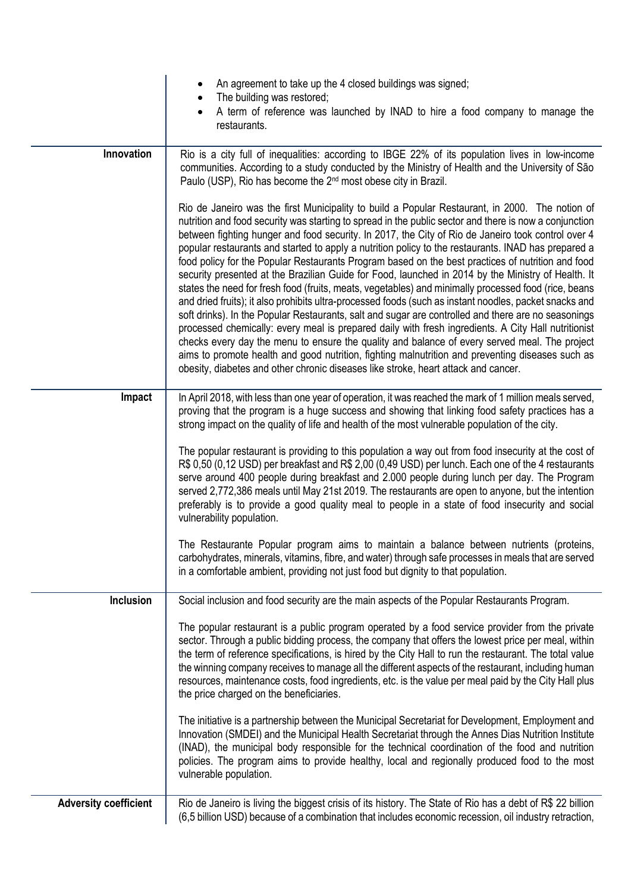|                              | An agreement to take up the 4 closed buildings was signed;<br>The building was restored;                                                                                                                                                                                                                                                                                                                                                                                                                                                                                                                                                                                                                                                                                                                                                                                                                                                                                                                                                                                                                                                                                                                                                                                                                                                                     |
|------------------------------|--------------------------------------------------------------------------------------------------------------------------------------------------------------------------------------------------------------------------------------------------------------------------------------------------------------------------------------------------------------------------------------------------------------------------------------------------------------------------------------------------------------------------------------------------------------------------------------------------------------------------------------------------------------------------------------------------------------------------------------------------------------------------------------------------------------------------------------------------------------------------------------------------------------------------------------------------------------------------------------------------------------------------------------------------------------------------------------------------------------------------------------------------------------------------------------------------------------------------------------------------------------------------------------------------------------------------------------------------------------|
|                              | A term of reference was launched by INAD to hire a food company to manage the<br>restaurants.                                                                                                                                                                                                                                                                                                                                                                                                                                                                                                                                                                                                                                                                                                                                                                                                                                                                                                                                                                                                                                                                                                                                                                                                                                                                |
| Innovation                   | Rio is a city full of inequalities: according to IBGE 22% of its population lives in low-income<br>communities. According to a study conducted by the Ministry of Health and the University of São<br>Paulo (USP), Rio has become the 2 <sup>nd</sup> most obese city in Brazil.                                                                                                                                                                                                                                                                                                                                                                                                                                                                                                                                                                                                                                                                                                                                                                                                                                                                                                                                                                                                                                                                             |
|                              | Rio de Janeiro was the first Municipality to build a Popular Restaurant, in 2000. The notion of<br>nutrition and food security was starting to spread in the public sector and there is now a conjunction<br>between fighting hunger and food security. In 2017, the City of Rio de Janeiro took control over 4<br>popular restaurants and started to apply a nutrition policy to the restaurants. INAD has prepared a<br>food policy for the Popular Restaurants Program based on the best practices of nutrition and food<br>security presented at the Brazilian Guide for Food, launched in 2014 by the Ministry of Health. It<br>states the need for fresh food (fruits, meats, vegetables) and minimally processed food (rice, beans<br>and dried fruits); it also prohibits ultra-processed foods (such as instant noodles, packet snacks and<br>soft drinks). In the Popular Restaurants, salt and sugar are controlled and there are no seasonings<br>processed chemically: every meal is prepared daily with fresh ingredients. A City Hall nutritionist<br>checks every day the menu to ensure the quality and balance of every served meal. The project<br>aims to promote health and good nutrition, fighting malnutrition and preventing diseases such as<br>obesity, diabetes and other chronic diseases like stroke, heart attack and cancer. |
| Impact                       | In April 2018, with less than one year of operation, it was reached the mark of 1 million meals served,<br>proving that the program is a huge success and showing that linking food safety practices has a<br>strong impact on the quality of life and health of the most vulnerable population of the city.                                                                                                                                                                                                                                                                                                                                                                                                                                                                                                                                                                                                                                                                                                                                                                                                                                                                                                                                                                                                                                                 |
|                              | The popular restaurant is providing to this population a way out from food insecurity at the cost of<br>R\$ 0,50 (0,12 USD) per breakfast and R\$ 2,00 (0,49 USD) per lunch. Each one of the 4 restaurants<br>serve around 400 people during breakfast and 2.000 people during lunch per day. The Program<br>served 2,772,386 meals until May 21st 2019. The restaurants are open to anyone, but the intention<br>preferably is to provide a good quality meal to people in a state of food insecurity and social<br>vulnerability population.                                                                                                                                                                                                                                                                                                                                                                                                                                                                                                                                                                                                                                                                                                                                                                                                               |
|                              | The Restaurante Popular program aims to maintain a balance between nutrients (proteins,<br>carbohydrates, minerals, vitamins, fibre, and water) through safe processes in meals that are served<br>in a comfortable ambient, providing not just food but dignity to that population.                                                                                                                                                                                                                                                                                                                                                                                                                                                                                                                                                                                                                                                                                                                                                                                                                                                                                                                                                                                                                                                                         |
| Inclusion                    | Social inclusion and food security are the main aspects of the Popular Restaurants Program.                                                                                                                                                                                                                                                                                                                                                                                                                                                                                                                                                                                                                                                                                                                                                                                                                                                                                                                                                                                                                                                                                                                                                                                                                                                                  |
|                              | The popular restaurant is a public program operated by a food service provider from the private<br>sector. Through a public bidding process, the company that offers the lowest price per meal, within<br>the term of reference specifications, is hired by the City Hall to run the restaurant. The total value<br>the winning company receives to manage all the different aspects of the restaurant, including human<br>resources, maintenance costs, food ingredients, etc. is the value per meal paid by the City Hall plus<br>the price charged on the beneficiaries.                                                                                                                                                                                                                                                                                                                                                                                                                                                                                                                                                                                                                                                                                                                                                                                  |
|                              | The initiative is a partnership between the Municipal Secretariat for Development, Employment and<br>Innovation (SMDEI) and the Municipal Health Secretariat through the Annes Dias Nutrition Institute<br>(INAD), the municipal body responsible for the technical coordination of the food and nutrition<br>policies. The program aims to provide healthy, local and regionally produced food to the most<br>vulnerable population.                                                                                                                                                                                                                                                                                                                                                                                                                                                                                                                                                                                                                                                                                                                                                                                                                                                                                                                        |
| <b>Adversity coefficient</b> | Rio de Janeiro is living the biggest crisis of its history. The State of Rio has a debt of R\$ 22 billion<br>(6,5 billion USD) because of a combination that includes economic recession, oil industry retraction,                                                                                                                                                                                                                                                                                                                                                                                                                                                                                                                                                                                                                                                                                                                                                                                                                                                                                                                                                                                                                                                                                                                                           |